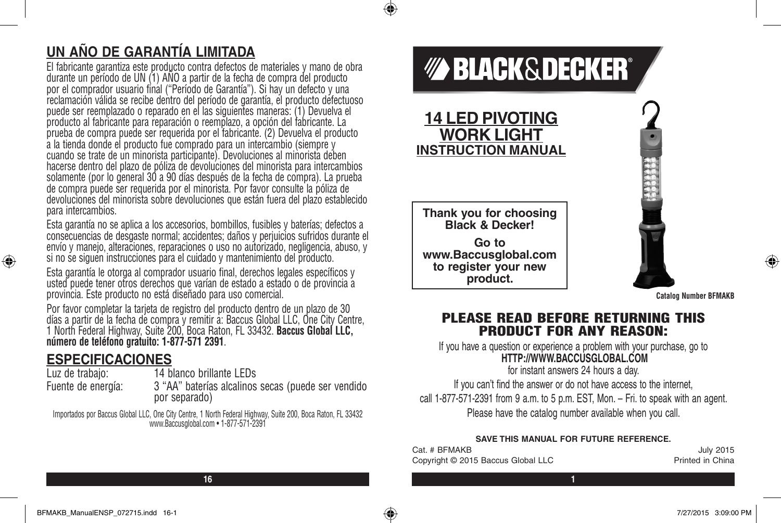# **UN AÑO DE GARANTÍA LIMITADA**

El fabricante garantiza este producto contra defectos de materiales y mano de obra durante un período de UN (1) AÑO a partir de la fecha de compra del producto por el comprador usuario final ("Período de Garantía"). Si hay un defecto y una reclamación válida se recibe dentro del período de garantía, el producto defectuoso puede ser reemplazado o reparado en el las siguientes maneras: (1) Devuelva el producto al fabricante para reparación o reemplazo, a opción del fabricante. La prueba de compra puede ser requerida por el fabricante. (2) Devuelva el producto a la tienda donde el producto fue comprado para un intercambio (siempre y cuando se trate de un minorista participante). Devoluciones al minorista deben hacerse dentro del plazo de póliza de devoluciones del minorista para intercambios solamente (por lo general 30 a 90 días después de la fecha de compra). La prueba de compra puede ser requerida por el minorista. Por favor consulte la póliza de devoluciones del minorista sobre devoluciones que están fuera del plazo establecido para intercambios.

Esta garantía no se aplica a los accesorios, bombillos, fusibles y baterías; defectos a consecuencias de desgaste normal; accidentes; daños y perjuicios sufridos durante el envío y manejo, alteraciones, reparaciones o uso no autorizado, negligencia, abuso, y si no se siguen instrucciones para el cuidado y mantenimiento del producto.

Esta garantía le otorga al comprador usuario final, derechos legales específicos y usted puede tener otros derechos que varían de estado a estado o de provincia a provincia. Este producto no está diseñado para uso comercial.

Por favor completar la tarjeta de registro del producto dentro de un plazo de 30 días a partir de la fecha de compra y remitir a: Baccus Global LLC, One City Centre, 1 North Federal Highway, Suite 200, Boca Raton, FL 33432. **Baccus Global LLC, número de teléfono gratuito: 1-877-571 2391**.

### **ESPECIFICACIONES**

⊕

Luz de trabajo: 14 blanco brillante LEDs

Fuente de energía: 3 "AA" baterías alcalinos secas (puede ser vendido por separado)

Importados por Baccus Global LLC, One City Centre, 1 North Federal Highway, Suite 200, Boca Raton, FL 33432 www.Baccusglobal.com • 1-877-571-2391

# **BLACK&DECKER®**

**14 LED PIVOTING WORK LIGHT INSTRUCTION MANUAL**

◈

**Thank you for choosing Black & Decker! Go to www.Baccusglobal.com to register your new product.**

**Catalog Number BFMAKB**

⊕

### PLEASE READ BEFORE RETURNING THIS PRODUCT FOR ANY REASON:

If you have a question or experience a problem with your purchase, go to **HTTP://WWW.BACCUSGLOBAL.COM**

for instant answers 24 hours a day.

If you can't find the answer or do not have access to the internet, call 1-877-571-2391 from 9 a.m. to 5 p.m. EST, Mon. – Fri. to speak with an agent. Please have the catalog number available when you call.

#### **SAVE THIS MANUAL FOR FUTURE REFERENCE.**

| Cat. # BFMAKB                      | <b>July 2015</b>        |
|------------------------------------|-------------------------|
| Copyright © 2015 Baccus Global LLC | <b>Printed in China</b> |

**16 1**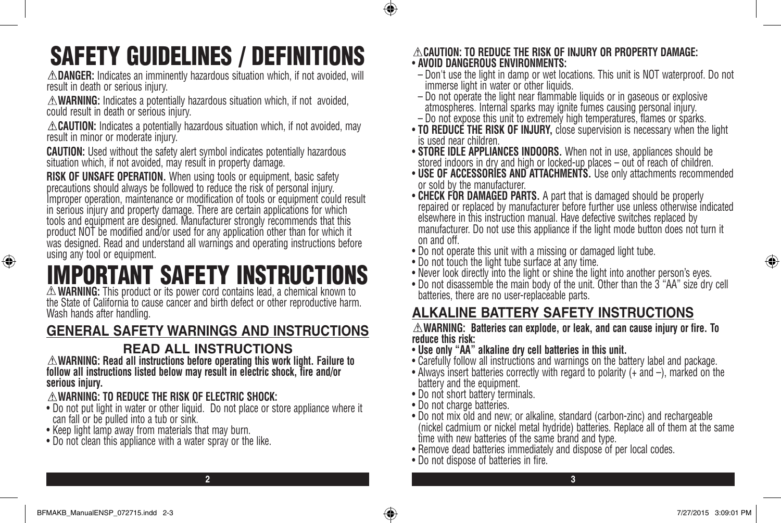# SAFETY GUIDELINES / DEFINITIONS

**DANGER:** Indicates an imminently hazardous situation which, if not avoided, will result in death or serious injury.

**WARNING:** Indicates a potentially hazardous situation which, if not avoided, could result in death or serious injury.

**ACAUTION:** Indicates a potentially hazardous situation which, if not avoided, may result in minor or moderate injury.

**CAUTION:** Used without the safety alert symbol indicates potentially hazardous situation which, if not avoided, may result in property damage.

**RISK OF UNSAFE OPERATION.** When using tools or equipment, basic safety precautions should always be followed to reduce the risk of personal injury. Improper operation, maintenance or modification of tools or equipment could result in serious injury and property damage. There are certain applications for which tools and equipment are designed. Manufacturer strongly recommends that this product NOT be modified and/or used for any application other than for which it was designed. Read and understand all warnings and operating instructions before using any tool or equipment.

# IMPORTANT SAFETY INSTRUCTIONS<br>A WARNING: This product or its power cord contains lead, a chemical known to

the State of California to cause cancer and birth defect or other reproductive harm. Wash hands after handling.

# **GENERAL SAFETY WARNINGS AND INSTRUCTIONS**

# **READ ALL INSTRUCTIONS**

**WARNING: Read all instructions before operating this work light. Failure to follow all instructions listed below may result in electric shock, fire and/or serious injury.**

### **WARNING: TO REDUCE THE RISK OF ELECTRIC SHOCK:**

- Do not put light in water or other liquid. Do not place or store appliance where it can fall or be pulled into a tub or sink.
- Keep light lamp away from materials that may burn.
- Do not clean this appliance with a water spray or the like.

#### **CAUTION: TO REDUCE THE RISK OF INJURY OR PROPERTY DAMAGE:** • **AVOID DANGEROUS ENVIRONMENTS:**

- Don't use the light in damp or wet locations. This unit is NOT waterproof. Do not immerse light in water or other liquids.
- Do not operate the light near flammable liquids or in gaseous or explosive atmospheres. Internal sparks may ignite fumes causing personal injury.
- Do not expose this unit to extremely high temperatures, flames or sparks.
- **TO REDUCE THE RISK OF INJURY,** close supervision is necessary when the light is used near children.
- **STORE IDLE APPLIANCES INDOORS.** When not in use, appliances should be stored indoors in dry and high or locked-up places – out of reach of children.
- **USE OF ACCESSORIES AND ATTACHMENTS.** Use only attachments recommended or sold by the manufacturer.
- **CHECK FOR DAMAGED PARTS.** A part that is damaged should be properly repaired or replaced by manufacturer before further use unless otherwise indicated elsewhere in this instruction manual. Have defective switches replaced by manufacturer. Do not use this appliance if the light mode button does not turn it on and off.
- Do not operate this unit with a missing or damaged light tube.
- Do not touch the light tube surface at any time.
- Never look directly into the light or shine the light into another person's eyes.
- Do not disassemble the main body of the unit. Other than the 3 "AA" size dry cell batteries, there are no user-replaceable parts.

# **ALKALINE BATTERY SAFETY INSTRUCTIONS**

**WARNING: Batteries can explode, or leak, and can cause injury or fire. To reduce this risk:**

- **Use only "AA" alkaline dry cell batteries in this unit.**
- Carefully follow all instructions and warnings on the battery label and package.
- Always insert batteries correctly with regard to polarity (+ and –), marked on the battery and the equipment.
- Do not short battery terminals.
- Do not charge batteries.

 $\bigcirc$ 

- Do not mix old and new; or alkaline, standard (carbon-zinc) and rechargeable (nickel cadmium or nickel metal hydride) batteries. Replace all of them at the same time with new batteries of the same brand and type.
- Remove dead batteries immediately and dispose of per local codes.
- Do not dispose of batteries in fire.

⊕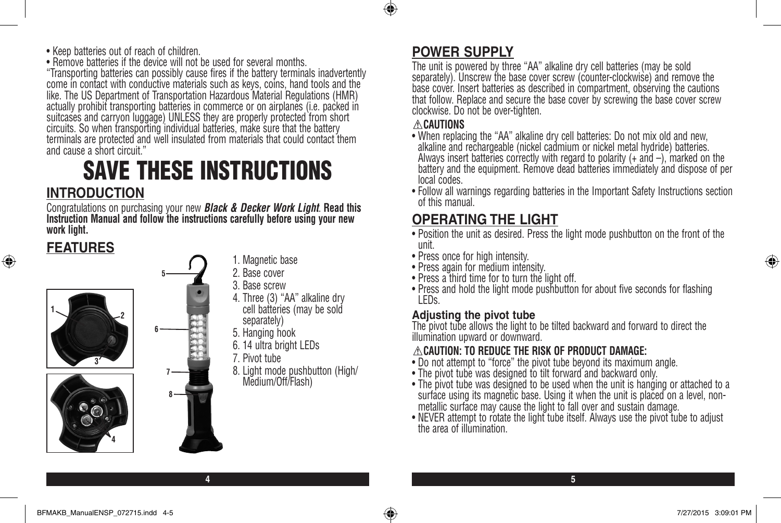• Keep batteries out of reach of children.

• Remove batteries if the device will not be used for several months.

"Transporting batteries can possibly cause fires if the battery terminals inadvertently come in contact with conductive materials such as keys, coins, hand tools and the like. The US Department of Transportation Hazardous Material Regulations (HMR) actually prohibit transporting batteries in commerce or on airplanes (i.e. packed in suitcases and carryon luggage) UNLESS they are properly protected from short circuits. So when transporting individual batteries, make sure that the battery terminals are protected and well insulated from materials that could contact them and cause a short circuit."

# SAVE THESE INSTRUCTIONS **INTRODUCTION**

Congratulations on purchasing your new *Black & Decker Work Light*. **Read this Instruction Manual and follow the instructions carefully before using your new work light.** 

# **FEATURES**

⊕



- 4. Three (3) "AA" alkaline dry cell battéries (may be sold
- 8. Light mode pushbutton (High/

**4 5**

## **POWER SUPPLY**

The unit is powered by three "AA" alkaline dry cell batteries (may be sold separately). Unscrew the base cover screw (counter-clockwise) and remove the base cover. Insert batteries as described in compartment, observing the cautions that follow. Replace and secure the base cover by screwing the base cover screw clockwise. Do not be over-tighten.

### **CAUTIONS**

 $\bigcirc$ 

- When replacing the "AA" alkaline dry cell batteries: Do not mix old and new, alkaline and rechargeable (nickel cadmium or nickel metal hydride) batteries. Always insert batteries correctly with regard to polarity (+ and –), marked on the battery and the equipment. Remove dead batteries immediately and dispose of per local codes.
- Follow all warnings regarding batteries in the Important Safety Instructions section of this manual.

# **OPERATING THE LIGHT**

- Position the unit as desired. Press the light mode pushbutton on the front of the unit.
- Press once for high intensity.
- Press again for medium intensity.
- Press a third time for to turn the light off.
- Press and hold the light mode pushbutton for about five seconds for flashing LEDs.

### **Adjusting the pivot tube**

The pivot tube allows the light to be tilted backward and forward to direct the illumination upward or downward.

### **CAUTION: TO REDUCE THE RISK OF PRODUCT DAMAGE:**

- Do not attempt to "force" the pivot tube beyond its maximum angle.
- The pivot tube was designed to tilt forward and backward only.
- The pivot tube was designed to be used when the unit is hanging or attached to a surface using its magnetic base. Using it when the unit is placed on a level, nonmetallic surface may cause the light to fall over and sustain damage.
- NEVER attempt to rotate the light tube itself. Always use the pivot tube to adjust the area of illumination.

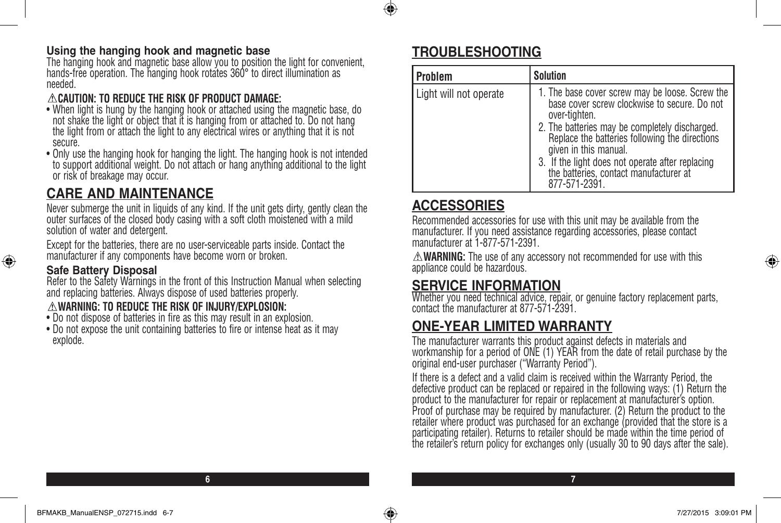#### **Using the hanging hook and magnetic base**

The hanging hook and magnetic base allow you to position the light for convenient, hands-free operation. The hanging hook rotates 360° to direct illumination as needed.

### **CAUTION: TO REDUCE THE RISK OF PRODUCT DAMAGE:**

- When light is hung by the hanging hook or attached using the magnetic base, do not shake the light or object that it is hanging from or attached to. Do not hang the light from or attach the light to any electrical wires or anything that it is not secure.
- Only use the hanging hook for hanging the light. The hanging hook is not intended to support additional weight. Do not attach or hang anything additional to the light or risk of breakage may occur.

# **CARE AND MAINTENANCE**

Never submerge the unit in liquids of any kind. If the unit gets dirty, gently clean the outer surfaces of the closed body casing with a soft cloth moistened with a mild solution of water and detergent.

Except for the batteries, there are no user-serviceable parts inside. Contact the manufacturer if any components have become worn or broken.

### **Safe Battery Disposal**

⊕

Refer to the Safety Warnings in the front of this Instruction Manual when selecting and replacing batteries. Always dispose of used batteries properly.

### **WARNING: TO REDUCE THE RISK OF INJURY/EXPLOSION:**

- Do not dispose of batteries in fire as this may result in an explosion.
- Do not expose the unit containing batteries to fire or intense heat as it may explode.

# **TROUBLESHOOTING**

⊕

| Problem                | <b>Solution</b>                                                                                                                                                                                                                                                                                                                                              |
|------------------------|--------------------------------------------------------------------------------------------------------------------------------------------------------------------------------------------------------------------------------------------------------------------------------------------------------------------------------------------------------------|
| Light will not operate | 1. The base cover screw may be loose. Screw the<br>base cover screw clockwise to secure. Do not<br>over-tighten.<br>2. The batteries may be completely discharged.<br>Replace the batteries following the directions<br>given in this manual.<br>3. If the light does not operate after replacing<br>the batteries, contact manufacturer at<br>877-571-2391. |

### **ACCESSORIES**

Recommended accessories for use with this unit may be available from the manufacturer. If you need assistance regarding accessories, please contact manufacturer at 1-877-571-2391.

**WARNING:** The use of any accessory not recommended for use with this appliance could be hazardous.

## **SERVICE INFORMATION**

Whether you need technical advice, repair, or genuine factory replacement parts, contact the manufacturer at 877-571-2391.

# **ONE-YEAR LIMITED WARRANTY**

The manufacturer warrants this product against defects in materials and workmanship for a period of ONE (1) YEAR from the date of retail purchase by the original end-user purchaser ("Warranty Period").

If there is a defect and a valid claim is received within the Warranty Period, the defective product can be replaced or repaired in the following ways: (1) Return the product to the manufacturer for repair or replacement at manufacturer's option. Proof of purchase may be required by manufacturer. (2) Return the product to the retailer where product was purchased for an exchange (provided that the store is a participating retailer). Returns to retailer should be made within the time period of the retailer's return policy for exchanges only (usually 30 to 90 days after the sale).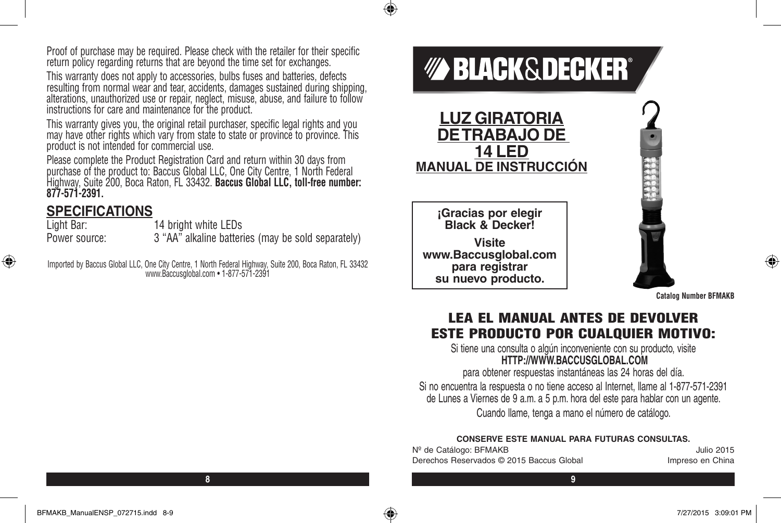Proof of purchase may be required. Please check with the retailer for their specific return policy regarding returns that are beyond the time set for exchanges.

This warranty does not apply to accessories, bulbs fuses and batteries, defects resulting from normal wear and tear, accidents, damages sustained during shipping, alterations, unauthorized use or repair, neglect, misuse, abuse, and failure to follow instructions for care and maintenance for the product.

This warranty gives you, the original retail purchaser, specific legal rights and you may have other rights which vary from state to state or province to province. This product is not intended for commercial use.

Please complete the Product Registration Card and return within 30 days from purchase of the product to: Baccus Global LLC, One City Centre, 1 North Federal Highway, Suite 200, Boca Raton, FL 33432. **Baccus Global LLC, toll-free number: 877-571-2391.** 

# **SPECIFICATIONS**<br>Light Bar:

⊕

14 bright white LEDs Power source: 3 "AA" alkaline batteries (may be sold separately)

Imported by Baccus Global LLC, One City Centre, 1 North Federal Highway, Suite 200, Boca Raton, FL 33432 www.Baccusglobal.com • 1-877-571-2391



 $\bigcirc$ 

**Catalog Number BFMAKB**

 $\bigoplus$ 

### LEA EL MANUAL ANTES DE DEVOLVER ESTE PRODUCTO POR CUALQUIER MOTIVO:

Si tiene una consulta o algún inconveniente con su producto, visite **HTTP://WWW.BACCUSGLOBAL.COM**

para obtener respuestas instantáneas las 24 horas del día. Si no encuentra la respuesta o no tiene acceso al Internet, llame al 1-877-571-2391 de Lunes a Viernes de 9 a.m. a 5 p.m. hora del este para hablar con un agente. Cuando llame, tenga a mano el número de catálogo.

#### **CONSERVE ESTE MANUAL PARA FUTURAS CONSULTAS.**

| Nº de Catálogo: BFMAKB                   | Julio 2015       |
|------------------------------------------|------------------|
| Derechos Reservados © 2015 Baccus Global | Impreso en China |

**8 9**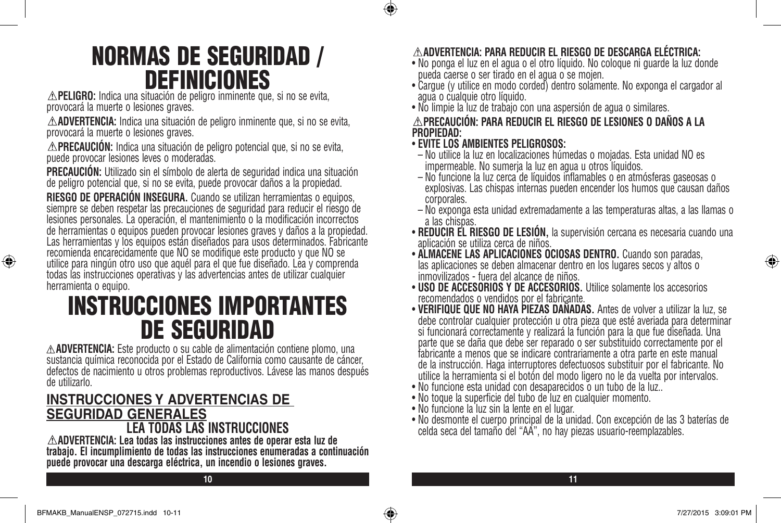# NORMAS DE SEGURIDAD / DEFINICIONES

**PELIGRO:** Indica una situación de peligro inminente que, si no se evita, provocará la muerte o lesiones graves.

**ADVERTENCIA:** Indica una situación de peligro inminente que, si no se evita, provocará la muerte o lesiones graves.

**PRECAUCIÓN:** Indica una situación de peligro potencial que, si no se evita, puede provocar lesiones leves o moderadas.

**PRECAUCIÓN:** Utilizado sin el símbolo de alerta de seguridad indica una situación de peligro potencial que, si no se evita, puede provocar daños a la propiedad.

**RIESGO DE OPERACIÓN INSEGURA.** Cuando se utilizan herramientas o equipos, siempre se deben respetar las precauciones de seguridad para reducir el riesgo de lesiones personales. La operación, el mantenimiento o la modificación incorrectos de herramientas o equipos pueden provocar lesiones graves y daños a la propiedad. Las herramientas y los equipos están diseñados para usos determinados. Fabricante recomienda encarecidamente que NO se modifique este producto y que NO se utilice para ningún otro uso que aquél para el que fue diseñado. Lea y comprenda todas las instrucciones operativas y las advertencias antes de utilizar cualquier herramienta o equipo.

# INSTRUCCIONES IMPORTANTES **DE SEGURIDAD**<br> **ADVERTENCIA:** Este producto o su cable de alimentación contiene plomo, una

sustancia química reconocida por el Estado de California como causante de cáncer, defectos de nacimiento u otros problemas reproductivos. Lávese las manos después de utilizarlo.

# **INSTRUCCIONES Y ADVERTENCIAS DE SEGURIDAD GENERALES**

**LEA TODAS LAS INSTRUCCIONES**<br> **ADVERTENCIA:** Lea todas las instrucciones antes de operar esta luz de trabajo. El incumplimiento de todas las instrucciones enumeradas a continuación **puede provocar una descarga eléctrica, un incendio o lesiones graves.**

### **ADVERTENCIA: PARA REDUCIR EL RIESGO DE DESCARGA ELÉCTRICA:**

- No ponga el luz en el agua o el otro líquido. No coloque ni guarde la luz donde pueda caerse o ser tirado en el agua o se mojen.
- Cargue (y utilice en modo corded) dentro solamente. No exponga el cargador al agua o cualquie otro líquido.
- No limpie la luz de trabajo con una aspersión de agua o similares.

### **PRECAUCIÓN: PARA REDUCIR EL RIESGO DE LESIONES O DAÑOS A LA PROPIEDAD:**

• **EVITE LOS AMBIENTES PELIGROSOS:**

 $\bigcirc$ 

- No utilice la luz en localizaciones húmedas o mojadas. Esta unidad NO es impermeable. No sumerja la luz en agua u otros líquidos.
- No funcione la luz cerca de líquidos inflamables o en atmósferas gaseosas o explosivas. Las chispas internas pueden encender los humos que causan daños corporales.
- No exponga esta unidad extremadamente a las temperaturas altas, a las llamas o a las chispas.
- **REDUCIR EL RIESGO DE LESIÓN,** la supervisión cercana es necesaria cuando una aplicación se utiliza cerca de niños.
- **ALMACENE LAS APLICACIONES OCIOSAS DENTRO.** Cuando son paradas, las aplicaciones se deben almacenar dentro en los lugares secos y altos o inmovilizados - fuera del alcance de niños.
- **USO DE ACCESORIOS Y DE ACCESORIOS.** Utilice solamente los accesorios recomendados o vendidos por el fabricante.
- **VERIFIQUE QUE NO HAYA PIEZAS DAÑADAS.** Antes de volver a utilizar la luz, se debe controlar cualquier protección u otra pieza que esté averiada para determinar si funcionará correctamente y realizará la función para la que fue diseñada. Una parte que se daña que debe ser reparado o ser substituido correctamente por el fabricante a menos que se indicare contrariamente a otra parte en este manual de la instrucción. Haga interruptores defectuosos substituir por el fabricante. No utilice la herramienta si el botón del modo ligero no le da vuelta por intervalos.
- No funcione esta unidad con desaparecidos o un tubo de la luz..
- No toque la superficie del tubo de luz en cualquier momento.
- No funcione la luz sin la lente en el lugar.
- No desmonte el cuerpo principal de la unidad. Con excepción de las 3 baterías de celda seca del tamaño del "AA", no hay piezas usuario-reemplazables.

**10 11**

♠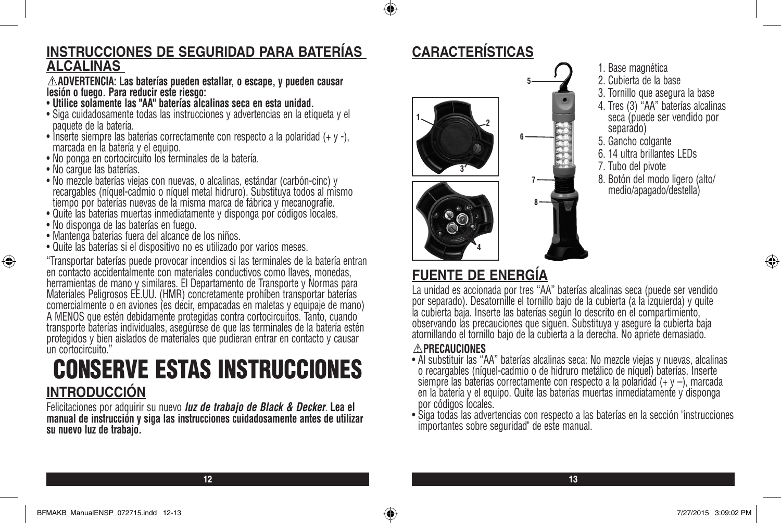### **INSTRUCCIONES DE SEGURIDAD PARA BATERÍAS ALCALINAS**

**ADVERTENCIA: Las baterías pueden estallar, o escape, y pueden causar lesión o fuego. Para reducir este riesgo:**

- **Utilice solamente las "AA" baterías alcalinas seca en esta unidad.**
- Siga cuidadosamente todas las instrucciones y advertencias en la etiqueta y el paquete de la batería.
- Inserte siempre las baterías correctamente con respecto a la polaridad (+ y -), marcada en la batería y el equipo.
- No ponga en cortocircuito los terminales de la batería.
- No cargue las baterías.

⊕

- No mezcle baterías viejas con nuevas, o alcalinas, estándar (carbón-cinc) y recargables (níquel-cadmio o níquel metal hidruro). Substituya todos al mismo tiempo por baterías nuevas de la misma marca de fábrica y mecanografíe.
- Quite las baterías muertas inmediatamente y disponga por códigos locales.
- No disponga de las baterías en fuego.
- Mantenga baterias fuera del alcance de los niños.
- Quite las baterías si el dispositivo no es utilizado por varios meses.

"Transportar baterías puede provocar incendios si las terminales de la batería entran en contacto accidentalmente con materiales conductivos como llaves, monedas, herramientas de mano y similares. El Departamento de Transporte y Normas para Materiales Peligrosos EE.UU. (HMR) concretamente prohíben transportar baterías comercialmente o en aviones (es decir, empacadas en maletas y equipaje de mano) A MENOS que estén debidamente protegidas contra cortocircuitos. Tanto, cuando transporte baterías individuales, asegúrese de que las terminales de la batería estén protegidos y bien aislados de materiales que pudieran entrar en contacto y causar un cortocircuito."

# CONSERVE ESTAS INSTRUCCIONES **INTRODUCCIÓN**

Felicitaciones por adquirir su nuevo *luz de trabajo de Black & Decker*. **Lea el manual de instrucción y siga las instrucciones cuidadosamente antes de utilizar su nuevo luz de trabajo.**

# **CARACTERÍSTICAS**

 $\bigcirc$ 



- 1. Base magnética
- 2. Cubierta de la base
- 3. Tornillo que asegura la base
- 4. Tres (3) "AA" baterías alcalinas seca (puede ser vendido por<br>separado)
- 5. Gancho colgante
- 6. 14 ultra brillantes LEDs
- 7. Tubo del pivote
- 8. Botón del modo ligero (alto/ medio/apagado/destella)

# **FUENTE DE ENERGÍA**

La unidad es accionada por tres "AA" baterías alcalinas seca (puede ser vendido por separado). Desatornille el tornillo bajo de la cubierta (a la izquierda) y quite la cubierta baja. Inserte las baterías según lo descrito en el compartimiento, observando las precauciones que siguen. Substituya y asegure la cubierta baja atornillando el tornillo bajo de la cubierta a la derecha. No apriete demasiado.

### **PRECAUCIONES**

- Al substituir las "AA" baterías alcalinas seca: No mezcle viejas y nuevas, alcalinas o recargables (níquel-cadmio o de hidruro metálico de níquel) baterías. Inserte siempre las baterías correctamente con respecto a la polaridad  $(+ y -)$ , marcada en la batería y el equipo. Quite las baterías muertas inmediatamente y disponga por códigos locales.
- Siga todas las advertencias con respecto a las baterías en la sección "instrucciones importantes sobre seguridad" de este manual.